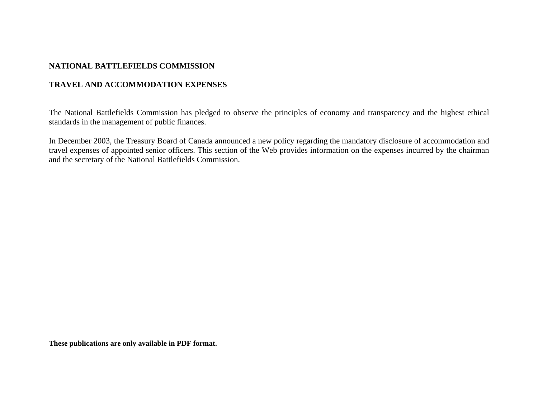## **NATIONAL BATTLEFIELDS COMMISSION**

# **TRAVEL AND ACCOMMODATION EXPENSES**

The National Battlefields Commission has pledged to observe the principles of economy and transparency and the highest ethical standards in the management of public finances.

In December 2003, the Treasury Board of Canada announced a new policy regarding the mandatory disclosure of accommodation and travel expenses of appointed senior officers. This section of the Web provides information on the expenses incurred by the chairman and the secretary of the National Battlefields Commission.

**These publications are only available in PDF format.**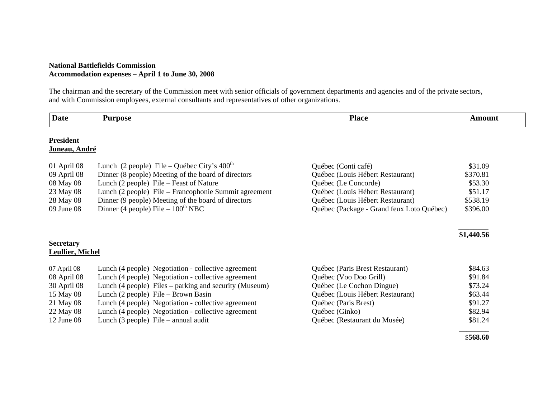### **National Battlefields Commission Accommodation expenses – April 1 to June 30, 2008**

The chairman and the secretary of the Commission meet with senior officials of government departments and agencies and of the private sectors, and with Commission employees, external consultants and representatives of other organizations.

| <b>Date</b>             | <b>Purpose</b>                                          | <b>Place</b>                              | <b>Amount</b> |
|-------------------------|---------------------------------------------------------|-------------------------------------------|---------------|
| <b>President</b>        |                                                         |                                           |               |
| Juneau, André           |                                                         |                                           |               |
| 01 April 08             | Lunch (2 people) File – Québec City's $400^{\text{th}}$ | Québec (Conti café)                       | \$31.09       |
| 09 April 08             | Dinner (8 people) Meeting of the board of directors     | Québec (Louis Hébert Restaurant)          | \$370.81      |
| 08 May 08               | Lunch (2 people) File – Feast of Nature                 | Québec (Le Concorde)                      | \$53.30       |
| 23 May 08               | Lunch (2 people) File – Francophonie Summit agreement   | Québec (Louis Hébert Restaurant)          | \$51.17       |
| 28 May 08               | Dinner (9 people) Meeting of the board of directors     | Québec (Louis Hébert Restaurant)          | \$538.19      |
| 09 June 08              | Dinner (4 people) File $-100^{\text{th}}$ NBC           | Québec (Package - Grand feux Loto Québec) | \$396.00      |
|                         |                                                         |                                           |               |
|                         |                                                         |                                           | \$1,440.56    |
| <b>Secretary</b>        |                                                         |                                           |               |
| <b>Leullier, Michel</b> |                                                         |                                           |               |
| 07 April 08             | Lunch (4 people) Negotiation - collective agreement     | Québec (Paris Brest Restaurant)           | \$84.63       |
| 08 April 08             | Lunch (4 people) Negotiation - collective agreement     | Québec (Voo Doo Grill)                    | \$91.84       |
| 30 April 08             | Lunch (4 people) Files – parking and security (Museum)  | Québec (Le Cochon Dingue)                 | \$73.24       |
| 15 May 08               | Lunch (2 people) File – Brown Basin                     | Québec (Louis Hébert Restaurant)          | \$63.44       |
| 21 May 08               | Lunch (4 people) Negotiation - collective agreement     | Québec (Paris Brest)                      | \$91.27       |
| 22 May 08               | Lunch (4 people) Negotiation - collective agreement     | Québec (Ginko)                            | \$82.94       |
| $12$ June 08            | Lunch $(3$ people) File – annual audit                  | Québec (Restaurant du Musée)              | \$81.24       |
|                         |                                                         |                                           | \$568.60      |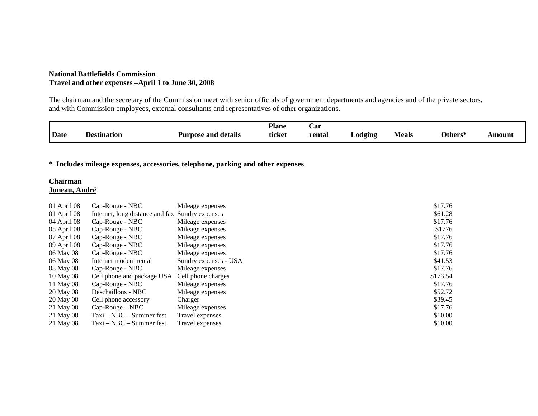### **National Battlefields Commission Travel and other expenses –April 1 to June 30, 2008**

The chairman and the secretary of the Commission meet with senior officials of government departments and agencies and of the private sectors, and with Commission employees, external consultants and representatives of other organizations.

|             |             |                     | <b>Plane</b> | Car    |         |       |                |        |
|-------------|-------------|---------------------|--------------|--------|---------|-------|----------------|--------|
| <b>Date</b> | Destination | Purpose and details | ticket       | rental | _odging | Meals | <b>Others*</b> | Amount |

**\* Includes mileage expenses, accessories, telephone, parking and other expenses**.

#### **Chairman Juneau, André**

| 01 April 08     | Cap-Rouge - NBC                                 | Mileage expenses      | \$17.76  |
|-----------------|-------------------------------------------------|-----------------------|----------|
| $01$ April $08$ | Internet, long distance and fax Sundry expenses |                       | \$61.28  |
| 04 April 08     | Cap-Rouge - NBC                                 | Mileage expenses      | \$17.76  |
| 05 April 08     | Cap-Rouge - NBC                                 | Mileage expenses      | \$1776   |
| 07 April 08     | Cap-Rouge - NBC                                 | Mileage expenses      | \$17.76  |
| 09 April 08     | Cap-Rouge - NBC                                 | Mileage expenses      | \$17.76  |
| 06 May 08       | Cap-Rouge - NBC                                 | Mileage expenses      | \$17.76  |
| 06 May 08       | Internet modem rental                           | Sundry expenses - USA | \$41.53  |
| 08 May 08       | Cap-Rouge - NBC                                 | Mileage expenses      | \$17.76  |
| 10 May 08       | Cell phone and package USA                      | Cell phone charges    | \$173.54 |
| 11 May 08       | Cap-Rouge - NBC                                 | Mileage expenses      | \$17.76  |
| 20 May 08       | Deschaillons - NBC                              | Mileage expenses      | \$52.72  |
| 20 May 08       | Cell phone accessory                            | Charger               | \$39.45  |
| 21 May 08       | $Cap-Rouge-NBC$                                 | Mileage expenses      | \$17.76  |
| 21 May 08       | $Taxi - NBC - Summer$ fest.                     | Travel expenses       | \$10.00  |
| 21 May 08       | $Taxi - NBC - Summer$ fest.                     | Travel expenses       | \$10.00  |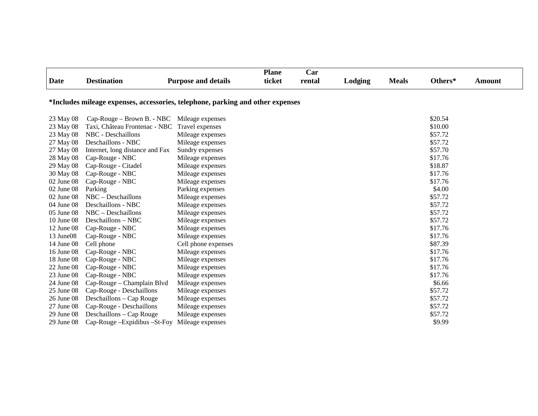|              |                                                                                |                            | <b>Plane</b> | Car    |         |              |         |               |
|--------------|--------------------------------------------------------------------------------|----------------------------|--------------|--------|---------|--------------|---------|---------------|
| <b>Date</b>  | <b>Destination</b>                                                             | <b>Purpose and details</b> | ticket       | rental | Lodging | <b>Meals</b> | Others* | <b>Amount</b> |
|              | *Includes mileage expenses, accessories, telephone, parking and other expenses |                            |              |        |         |              |         |               |
| 23 May 08    | Cap-Rouge – Brown B. - NBC                                                     | Mileage expenses           |              |        |         |              | \$20.54 |               |
| 23 May 08    | Taxi, Château Frontenac - NBC                                                  | Travel expenses            |              |        |         |              | \$10.00 |               |
| 23 May 08    | <b>NBC</b> - Deschaillons                                                      | Mileage expenses           |              |        |         |              | \$57.72 |               |
| 27 May 08    | Deschaillons - NBC                                                             | Mileage expenses           |              |        |         |              | \$57.72 |               |
| 27 May 08    | Internet, long distance and Fax                                                | Sundry expenses            |              |        |         |              | \$57.70 |               |
| 28 May 08    | Cap-Rouge - NBC                                                                | Mileage expenses           |              |        |         |              | \$17.76 |               |
| 29 May 08    | Cap-Rouge - Citadel                                                            | Mileage expenses           |              |        |         |              | \$18.87 |               |
| 30 May 08    | Cap-Rouge - NBC                                                                | Mileage expenses           |              |        |         |              | \$17.76 |               |
| 02 June 08   | Cap-Rouge - NBC                                                                | Mileage expenses           |              |        |         |              | \$17.76 |               |
| 02 June 08   | Parking                                                                        | Parking expenses           |              |        |         |              | \$4.00  |               |
| 02 June 08   | NBC - Deschaillons                                                             | Mileage expenses           |              |        |         |              | \$57.72 |               |
| 04 June 08   | Deschaillons - NBC                                                             | Mileage expenses           |              |        |         |              | \$57.72 |               |
| 05 June 08   | $NBC - Deschaillons$                                                           | Mileage expenses           |              |        |         |              | \$57.72 |               |
| 10 June 08   | Deschaillons - NBC                                                             | Mileage expenses           |              |        |         |              | \$57.72 |               |
| 12 June 08   | Cap-Rouge - NBC                                                                | Mileage expenses           |              |        |         |              | \$17.76 |               |
| 13 June08    | Cap-Rouge - NBC                                                                | Mileage expenses           |              |        |         |              | \$17.76 |               |
| 14 June 08   | Cell phone                                                                     | Cell phone expenses        |              |        |         |              | \$87.39 |               |
| 16 June 08   | Cap-Rouge - NBC                                                                | Mileage expenses           |              |        |         |              | \$17.76 |               |
| 18 June 08   | Cap-Rouge - NBC                                                                | Mileage expenses           |              |        |         |              | \$17.76 |               |
| 22 June 08   | Cap-Rouge - NBC                                                                | Mileage expenses           |              |        |         |              | \$17.76 |               |
| 23 June 08   | Cap-Rouge - NBC                                                                | Mileage expenses           |              |        |         |              | \$17.76 |               |
| 24 June 08   | Cap-Rouge – Champlain Blvd                                                     | Mileage expenses           |              |        |         |              | \$6.66  |               |
| $25$ June 08 | Cap-Rouge - Deschaillons                                                       | Mileage expenses           |              |        |         |              | \$57.72 |               |
| 26 June 08   | Deschaillons - Cap Rouge                                                       | Mileage expenses           |              |        |         |              | \$57.72 |               |
| 27 June 08   | Cap-Rouge - Deschaillons                                                       | Mileage expenses           |              |        |         |              | \$57.72 |               |
| 29 June 08   | Deschaillons – Cap Rouge                                                       | Mileage expenses           |              |        |         |              | \$57.72 |               |

29 June 08 Cap-Rouge –Expidibus –St-Foy Mileage expenses \$9.99